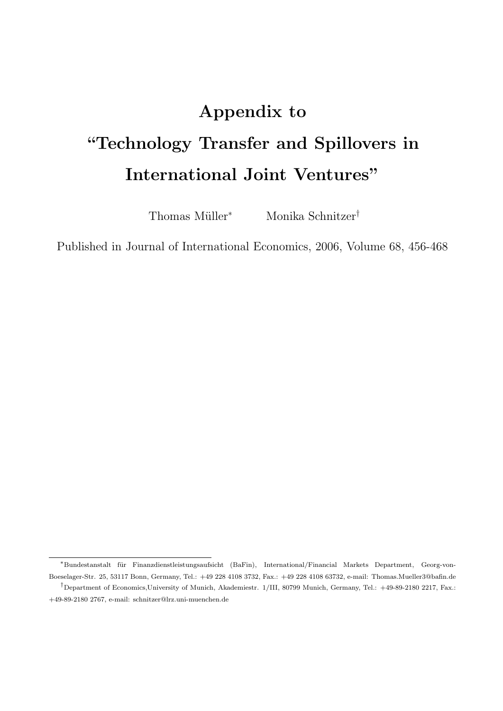# Appendix to "Technology Transfer and Spillovers in International Joint Ventures"

Thomas Müller<sup>∗</sup> Monika Schnitzer<sup>†</sup>

Published in Journal of International Economics, 2006, Volume 68, 456-468

<sup>∗</sup>Bundestanstalt f¨ur Finanzdienstleistungsaufsicht (BaFin), International/Financial Markets Department, Georg-von-Boeselager-Str. 25, 53117 Bonn, Germany, Tel.: +49 228 4108 3732, Fax.: +49 228 4108 63732, e-mail: Thomas.Mueller3@bafin.de †Department of Economics,University of Munich, Akademiestr. 1/III, 80799 Munich, Germany, Tel.: +49-89-2180 2217, Fax.:

<sup>+49-89-2180 2767,</sup> e-mail: schnitzer@lrz.uni-muenchen.de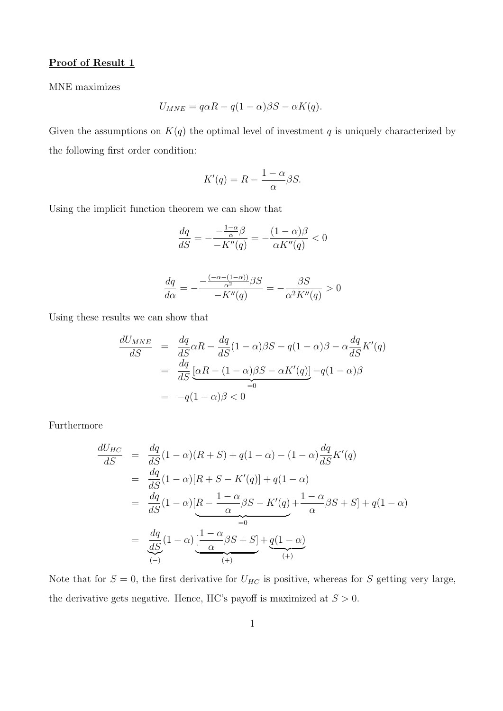#### Proof of Result 1

MNE maximizes

$$
U_{MNE} = q\alpha R - q(1-\alpha)\beta S - \alpha K(q).
$$

Given the assumptions on  $K(q)$  the optimal level of investment q is uniquely characterized by the following first order condition:

$$
K'(q) = R - \frac{1 - \alpha}{\alpha} \beta S.
$$

Using the implicit function theorem we can show that

$$
\frac{dq}{dS}=-\frac{-\frac{1-\alpha}{\alpha}\beta}{-K''(q)}=-\frac{(1-\alpha)\beta}{\alpha K''(q)}<0
$$

$$
\frac{dq}{d\alpha} = -\frac{\frac{(-\alpha - (1 - \alpha))}{\alpha^2} \beta S}{-K''(q)} = -\frac{\beta S}{\alpha^2 K''(q)} > 0
$$

Using these results we can show that

$$
\frac{dU_{MNE}}{dS} = \frac{dq}{dS}\alpha R - \frac{dq}{dS}(1-\alpha)\beta S - q(1-\alpha)\beta - \alpha\frac{dq}{dS}K'(q)
$$

$$
= \frac{dq}{dS}\underbrace{[\alpha R - (1-\alpha)\beta S - \alpha K'(q)]}_{=0} - q(1-\alpha)\beta
$$

$$
= -q(1-\alpha)\beta < 0
$$

Furthermore

$$
\frac{dU_{HC}}{dS} = \frac{dq}{dS}(1-\alpha)(R+S) + q(1-\alpha) - (1-\alpha)\frac{dq}{dS}K'(q)
$$
  
\n
$$
= \frac{dq}{dS}(1-\alpha)[R+S-K'(q)] + q(1-\alpha)
$$
  
\n
$$
= \frac{dq}{dS}(1-\alpha)[R-\frac{1-\alpha}{\alpha}\beta S - K'(q) + \frac{1-\alpha}{\alpha}\beta S + S] + q(1-\alpha)
$$
  
\n
$$
= \frac{dq}{dS}(1-\alpha)\left[\frac{1-\alpha}{\alpha}\beta S + S\right] + q(1-\alpha)
$$
  
\n
$$
\xrightarrow[(+)]
$$

Note that for  $S = 0$ , the first derivative for  $U_{HC}$  is positive, whereas for S getting very large, the derivative gets negative. Hence, HC's payoff is maximized at  $S > 0$ .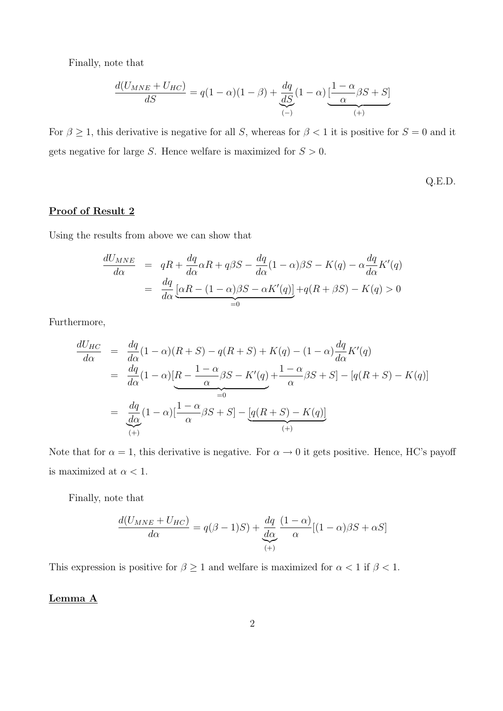Finally, note that

$$
\frac{d(U_{MNE} + U_{HC})}{dS} = q(1 - \alpha)(1 - \beta) + \underbrace{\frac{dq}{dS}}_{(-)}(1 - \alpha) \underbrace{\left[\frac{1 - \alpha}{\alpha}\beta S + S\right]}_{(+)}
$$

For  $\beta \geq 1$ , this derivative is negative for all S, whereas for  $\beta < 1$  it is positive for  $S = 0$  and it gets negative for large S. Hence welfare is maximized for  $S > 0$ .

Q.E.D.

## Proof of Result 2

Using the results from above we can show that

$$
\frac{dU_{MNE}}{d\alpha} = qR + \frac{dq}{d\alpha}\alpha R + q\beta S - \frac{dq}{d\alpha}(1-\alpha)\beta S - K(q) - \alpha \frac{dq}{d\alpha}K'(q)
$$

$$
= \frac{dq}{d\alpha} \underbrace{[\alpha R - (1-\alpha)\beta S - \alpha K'(q)]}_{=0} + q(R + \beta S) - K(q) > 0
$$

Furthermore,

$$
\frac{dU_{HC}}{d\alpha} = \frac{dq}{d\alpha}(1-\alpha)(R+S) - q(R+S) + K(q) - (1-\alpha)\frac{dq}{d\alpha}K'(q)
$$
  
\n
$$
= \frac{dq}{d\alpha}(1-\alpha)[R - \frac{1-\alpha}{\alpha}\beta S - K'(q) + \frac{1-\alpha}{\alpha}\beta S + S] - [q(R+S) - K(q)]
$$
  
\n
$$
= \frac{dq}{d\alpha}(1-\alpha)[\frac{1-\alpha}{\alpha}\beta S + S] - [q(R+S) - K(q)]
$$
  
\n
$$
\xrightarrow[(+)]
$$

Note that for  $\alpha = 1$ , this derivative is negative. For  $\alpha \to 0$  it gets positive. Hence, HC's payoff is maximized at  $\alpha < 1$ .

Finally, note that

$$
\frac{d(U_{MNE} + U_{HC})}{d\alpha} = q(\beta - 1)S) + \underbrace{\frac{dq}{d\alpha}}_{(+)} \frac{(1 - \alpha)}{\alpha} [(1 - \alpha)\beta S + \alpha S]
$$

This expression is positive for  $\beta \geq 1$  and welfare is maximized for  $\alpha < 1$  if  $\beta < 1$ .

#### Lemma A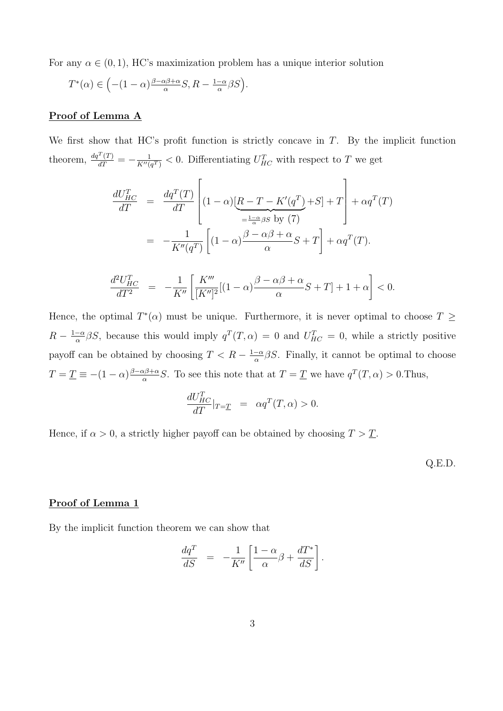For any  $\alpha \in (0,1)$ , HC's maximization problem has a unique interior solution

$$
T^*(\alpha) \in \left( -(1-\alpha)\frac{\beta-\alpha\beta+\alpha}{\alpha}S, R - \frac{1-\alpha}{\alpha}\beta S \right).
$$

#### Proof of Lemma A

We first show that HC's profit function is strictly concave in  $T$ . By the implicit function theorem,  $\frac{dq^T(T)}{dT} = -\frac{1}{K''(0)}$  $\frac{1}{K''(q^T)} < 0$ . Differentiating  $U_{HC}^T$  with respect to T we get

$$
\frac{dU_{HC}^T}{dT} = \frac{dq^T(T)}{dT} \left[ (1-\alpha) \underbrace{[R - T - K'(q^T) + S]}_{= \frac{1-\alpha}{\alpha} \beta S} + \alpha q^T(T) \right]
$$
\n
$$
= -\frac{1}{K''(q^T)} \left[ (1-\alpha) \frac{\beta - \alpha \beta + \alpha}{\alpha} S + T \right] + \alpha q^T(T).
$$

$$
\frac{d^2U_{HC}^T}{dT^2} = -\frac{1}{K''}\left[\frac{K'''}{[K'']^2}[(1-\alpha)\frac{\beta-\alpha\beta+\alpha}{\alpha}S+T]+1+\alpha\right] < 0.
$$

Hence, the optimal  $T^*(\alpha)$  must be unique. Furthermore, it is never optimal to choose  $T \geq$  $R-\frac{1-\alpha}{\alpha}$  $\frac{-\alpha}{\alpha}\beta S$ , because this would imply  $q^T(T,\alpha) = 0$  and  $U_{HC}^T = 0$ , while a strictly positive payoff can be obtained by choosing  $T < R - \frac{1-\alpha}{\alpha}$  $\frac{-\alpha}{\alpha}\beta S$ . Finally, it cannot be optimal to choose  $T = \underline{T} \equiv -(1-\alpha)\frac{\beta-\alpha\beta+\alpha}{\alpha}$  $\frac{\alpha\beta+\alpha}{\alpha}S$ . To see this note that at  $T=\underline{T}$  we have  $q^T(T,\alpha) > 0$ . Thus,

$$
\frac{dU_{HC}^T}{dT}|_{T=\underline{T}} = \alpha q^T(T,\alpha) > 0.
$$

Hence, if  $\alpha > 0$ , a strictly higher payoff can be obtained by choosing  $T > \underline{T}$ .

Q.E.D.

#### Proof of Lemma 1

By the implicit function theorem we can show that

$$
\frac{dq^T}{dS} = -\frac{1}{K''} \left[ \frac{1-\alpha}{\alpha} \beta + \frac{dT^*}{dS} \right].
$$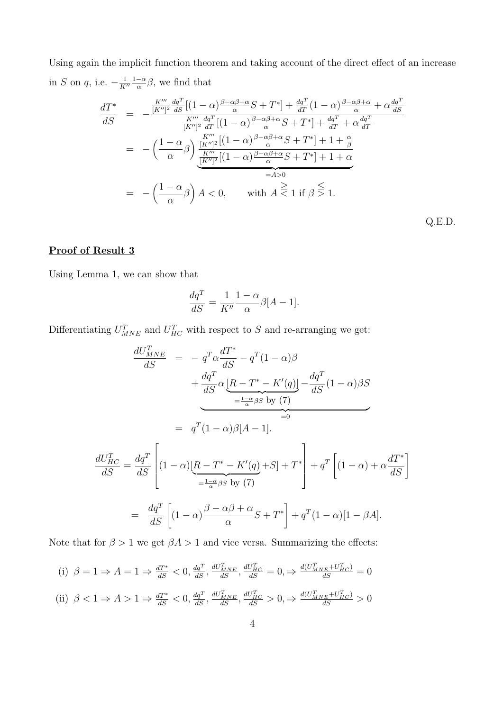Using again the implicit function theorem and taking account of the direct effect of an increase in S on q, i.e.  $-\frac{1}{K}$  $\overline{K''}$  $1-\alpha$  $\frac{-\alpha}{\alpha}\beta$ , we find that

$$
\frac{dT^*}{dS} = -\frac{\frac{K'''}{[K'']^2} \frac{dq^T}{dS} [(1-\alpha)\frac{\beta-\alpha\beta+\alpha}{\alpha}S+T^*] + \frac{dq^T}{dT}(1-\alpha)\frac{\beta-\alpha\beta+\alpha}{\alpha} + \alpha\frac{dq^T}{dS}}{\frac{K'''}{[K'']^2} \frac{dq^T}{dT} [(1-\alpha)\frac{\beta-\alpha\beta+\alpha}{\alpha}S+T^*] + \frac{dq^T}{dT} + \alpha\frac{dq^T}{dT}}
$$
\n
$$
= -\left(\frac{1-\alpha}{\alpha}\beta\right) \frac{\frac{K'''}{[K'']^2} [(1-\alpha)\frac{\beta-\alpha\beta+\alpha}{\alpha}S+T^*] + 1 + \frac{\alpha}{\beta}}{\frac{K'''}{[K'']^2} [(1-\alpha)\frac{\beta-\alpha\beta+\alpha}{\alpha}S+T^*] + 1 + \alpha}
$$
\n
$$
= A>0
$$
\n
$$
= -\left(\frac{1-\alpha}{\alpha}\beta\right)A < 0, \quad \text{with } A \le 1 \text{ if } \beta \le 1.
$$

Q.E.D.

## Proof of Result 3

Using Lemma 1, we can show that

$$
\frac{dq^T}{dS} = \frac{1}{K''} \frac{1 - \alpha}{\alpha} \beta[A - 1].
$$

Differentiating  $U_{MNE}^T$  and  $U_{HC}^T$  with respect to S and re-arranging we get:

$$
\frac{dU_{MNE}^{T}}{dS} = -q^{T}\alpha \frac{dT^{*}}{dS} - q^{T}(1-\alpha)\beta
$$
\n
$$
+ \frac{dq^{T}}{dS}\alpha \underbrace{[R - T^{*} - K'(q)]}_{= \frac{1-\alpha}{\alpha}\beta S} - \frac{dq^{T}}{dS}(1-\alpha)\beta S
$$
\n
$$
= q^{T}(1-\alpha)\beta[A-1].
$$
\n
$$
\frac{dU_{HC}^{T}}{dS} = \frac{dq^{T}}{dS} \left[ (1-\alpha)\underbrace{[R - T^{*} - K'(q)}_{= \frac{1-\alpha}{\alpha}\beta S} + S + T^{*} \right] + q^{T}\left[ (1-\alpha)\alpha + \alpha \frac{dT^{*}}{dS} \right]
$$
\n
$$
= \frac{dq^{T}}{dS} \left[ (1-\alpha)\frac{\beta - \alpha\beta + \alpha}{\alpha}S + T^{*} \right] + q^{T}(1-\alpha)[1-\beta A].
$$

Note that for  $\beta > 1$  we get  $\beta A > 1$  and vice versa. Summarizing the effects:

(i) 
$$
\beta = 1 \Rightarrow A = 1 \Rightarrow \frac{dT^*}{dS} < 0, \frac{dq^T}{dS}, \frac{dU_{MNE}^T}{dS}, \frac{dU_{HC}^T}{dS} = 0, \Rightarrow \frac{d(U_{MNE}^T + U_{HC}^T)}{dS} = 0
$$
\n(iii) 
$$
\beta < 1 \Rightarrow A > 1 \Rightarrow \frac{dT^*}{dV^*} < 0, \frac{dq^T}{dV_{MNE}^T} \frac{dU_{MNE}^T}{dV_{HC}^T} > 0, \Rightarrow \frac{d(U_{MNE}^T + U_{HC}^T)}{d(V_{MNE}^T + U_{HC}^T)} > 0
$$

(ii) 
$$
\beta < 1 \Rightarrow A > 1 \Rightarrow \frac{dT^*}{dS} < 0, \frac{dq^T}{dS}, \frac{dU_{MNE}^T}{dS}, \frac{dU_{HC}^T}{dS} > 0, \Rightarrow \frac{d(U_{MNE}^T + U_{HC}^T)}{dS} > 0
$$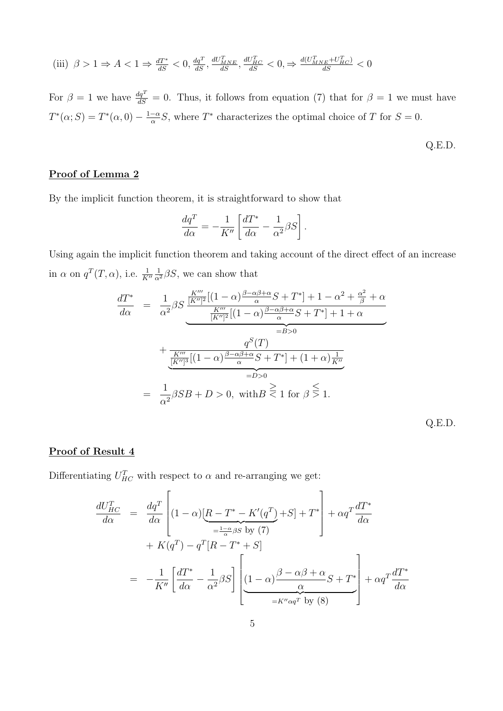(iii) 
$$
\beta > 1 \Rightarrow A < 1 \Rightarrow \frac{dT^*}{dS} < 0
$$
,  $\frac{dq^T}{dS}$ ,  $\frac{dU_{MNE}^T}{dS}$ ,  $\frac{dU_{HC}^T}{dS} < 0$ ,  $\Rightarrow \frac{d(U_{MNE}^T + U_{HC}^T)}{dS} < 0$ 

For  $\beta = 1$  we have  $\frac{dq^T}{dS} = 0$ . Thus, it follows from equation (7) that for  $\beta = 1$  we must have  $T^*(\alpha;S) = T^*(\alpha,0) - \frac{1-\alpha}{\alpha}$  $\frac{-\alpha}{\alpha}S$ , where  $T^*$  characterizes the optimal choice of T for  $S=0$ .

$$
Q.E.D.
$$

## Proof of Lemma 2

By the implicit function theorem, it is straightforward to show that

$$
\frac{dq^T}{d\alpha} = -\frac{1}{K''} \left[ \frac{dT^*}{d\alpha} - \frac{1}{\alpha^2} \beta S \right].
$$

Using again the implicit function theorem and taking account of the direct effect of an increase in  $\alpha$  on  $q^T(T, \alpha)$ , i.e.  $\frac{1}{K''}$  $\frac{1}{\alpha^2} \beta S$ , we can show that

$$
\frac{dT^*}{d\alpha} = \frac{1}{\alpha^2} \beta S \frac{\frac{K'''}{[K'']^2} [(1-\alpha)\frac{\beta-\alpha\beta+\alpha}{\alpha}S+T^*] + 1 - \alpha^2 + \frac{\alpha^2}{\beta} + \alpha}{\frac{K'''}{[K'']^2} [(1-\alpha)\frac{\beta-\alpha\beta+\alpha}{\alpha}S+T^*] + 1 + \alpha}
$$
\n
$$
=B>0
$$
\n
$$
+\frac{q^S(T)}{\frac{K'''}{[K'']^3} [(1-\alpha)\frac{\beta-\alpha\beta+\alpha}{\alpha}S+T^*] + (1+\alpha)\frac{1}{K''}}{=D>0}
$$
\n
$$
= \frac{1}{\alpha^2} \beta SB + D > 0, \text{ with } B < 1 \text{ for } \beta \le 1.
$$
\nQ.E.D.

#### Proof of Result 4

Differentiating  $U_{HC}^T$  with respect to  $\alpha$  and re-arranging we get:

$$
\frac{dU_{HC}^T}{d\alpha} = \frac{dq^T}{d\alpha} \left[ (1 - \alpha) \left[ \frac{R - T^* - K'(q^T) + S + T^*}{\frac{1 - \alpha}{\alpha} \beta S} \right] + \alpha q^T \frac{dT^*}{d\alpha} + K(q^T) - q^T [R - T^* + S] \right]
$$

$$
= -\frac{1}{K''} \left[ \frac{dT^*}{d\alpha} - \frac{1}{\alpha^2} \beta S \right] \left[ \underbrace{(1 - \alpha) \frac{\beta - \alpha \beta + \alpha}{\alpha} S + T^*}_{= K'' \alpha q^T} \right] + \alpha q^T \frac{dT^*}{d\alpha}
$$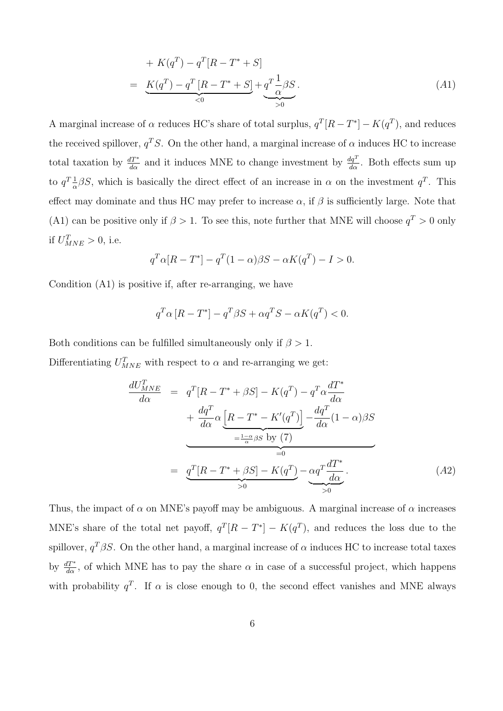+ 
$$
K(q^T) - q^T[R - T^* + S]
$$
  
=  $K(q^T) - q^T[R - T^* + S] + q^T \frac{1}{\alpha} \beta S$ . (A1)

A marginal increase of  $\alpha$  reduces HC's share of total surplus,  $q^T[R - T^*] - K(q^T)$ , and reduces the received spillover,  $q^T S$ . On the other hand, a marginal increase of  $\alpha$  induces HC to increase total taxation by  $\frac{dT^*}{d\alpha}$  and it induces MNE to change investment by  $\frac{dq^T}{d\alpha}$ . Both effects sum up to  $q^T\frac{1}{\alpha}$  $\frac{1}{\alpha}\beta S$ , which is basically the direct effect of an increase in  $\alpha$  on the investment  $q^T$ . This effect may dominate and thus HC may prefer to increase  $\alpha$ , if  $\beta$  is sufficiently large. Note that (A1) can be positive only if  $\beta > 1$ . To see this, note further that MNE will choose  $q^T > 0$  only if  $U_{MNE}^T > 0$ , i.e.

$$
q^T\alpha[R - T^*] - q^T(1 - \alpha)\beta S - \alpha K(q^T) - I > 0.
$$

Condition (A1) is positive if, after re-arranging, we have

$$
q^T\alpha \left[ R - T^* \right] - q^T \beta S + \alpha q^T S - \alpha K(q^T) < 0.
$$

Both conditions can be fulfilled simultaneously only if  $\beta > 1$ .

Differentiating  $U_{MNE}^T$  with respect to  $\alpha$  and re-arranging we get:

$$
\frac{dU_{MNE}^{T}}{d\alpha} = q^{T}[R - T^* + \beta S] - K(q^{T}) - q^{T}\alpha \frac{dT^*}{d\alpha} \n+ \frac{dq^{T}}{d\alpha} \alpha \underbrace{\left[R - T^* - K'(q^{T})\right]}_{=\frac{1-\alpha}{\alpha}\beta S} - \underbrace{\frac{dq^{T}}{d\alpha}(1-\alpha)\beta S}_{=0} \n= \underbrace{q^{T}[R - T^* + \beta S] - K(q^{T})}_{>0} - \underbrace{\alpha q^{T} \frac{dT^*}{d\alpha}}_{>0}.
$$
\n(A2)

Thus, the impact of  $\alpha$  on MNE's payoff may be ambiguous. A marginal increase of  $\alpha$  increases MNE's share of the total net payoff,  $q^{T}[R - T^{*}] - K(q^{T})$ , and reduces the loss due to the spillover,  $q^T\beta S$ . On the other hand, a marginal increase of  $\alpha$  induces HC to increase total taxes by  $\frac{dT^*}{d\alpha}$ , of which MNE has to pay the share  $\alpha$  in case of a successful project, which happens with probability  $q^T$ . If  $\alpha$  is close enough to 0, the second effect vanishes and MNE always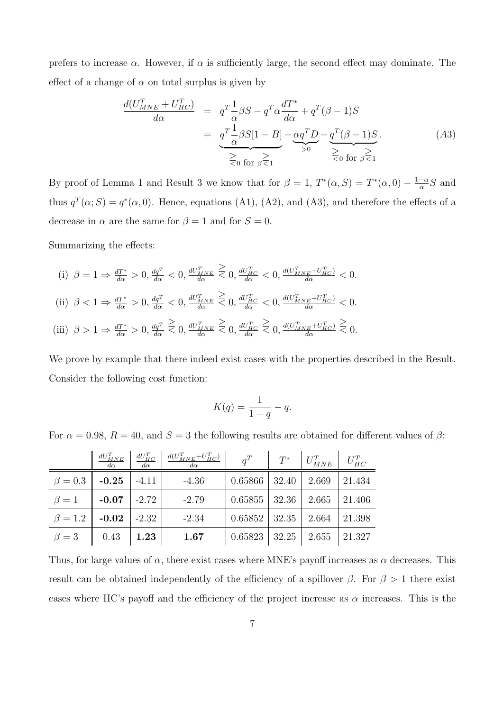prefers to increase  $\alpha$ . However, if  $\alpha$  is sufficiently large, the second effect may dominate. The effect of a change of  $\alpha$  on total surplus is given by

$$
\frac{d(U_{MNE}^T + U_{HC}^T)}{d\alpha} = q^T \frac{1}{\alpha} \beta S - q^T \alpha \frac{dT^*}{d\alpha} + q^T (\beta - 1) S
$$
\n
$$
= q^T \frac{1}{\alpha} \beta S [1 - B] - \underbrace{\alpha q^T D}_{>0} + \underbrace{q^T (\beta - 1) S}_{\geq 0 \text{ for } \beta \leq 1}.
$$
\n(A3)

dα

By proof of Lemma 1 and Result 3 we know that for  $\beta = 1$ ,  $T^*(\alpha, S) = T^*(\alpha, 0) - \frac{1-\alpha}{\alpha}$  $\frac{-\alpha}{\alpha}S$  and thus  $q^T(\alpha; S) = q^*(\alpha, 0)$ . Hence, equations (A1), (A2), and (A3), and therefore the effects of a decrease in  $\alpha$  are the same for  $\beta = 1$  and for  $S = 0$ .

Summarizing the effects:

(i)  $\beta = 1 \Rightarrow \frac{dT^*}{d\alpha} > 0, \frac{dq^T}{d\alpha} < 0, \frac{dU_{MNE}^T}{d\alpha}$ ≥  $\leq 0, \frac{dU_{HC}^T}{d\alpha} < 0, \frac{d(U_{MNE}^T + U_{HC}^T)}{d\alpha} < 0.$ (ii)  $\beta < 1 \Rightarrow \frac{dT^*}{d\alpha} > 0, \frac{dq^T}{d\alpha} < 0, \frac{dU_{MNE}^T}{d\alpha}$ ≥  $\leq 0, \frac{dU_{HC}^T}{d\alpha} < 0, \frac{d(U_{MNE}^T + U_{HC}^T)}{d\alpha} < 0.$ (iii)  $\beta > 1 \Rightarrow \frac{dT^*}{d\alpha} > 0, \frac{dq^T}{d\alpha}$ ≥  $\textstyle \lesssim 0, \frac{dU_{MNE}^T}{d\alpha}$ ≥  $\lesssim 0, \frac{dU_{HC}^T}{d\alpha}$ ≥  $\leq 0, \frac{d(U_{MNE}^T + U_{HC}^T)}{d\alpha}$ ≥  $\leq 0$ .

dα

We prove by example that there indeed exist cases with the properties described in the Result. Consider the following cost function:

$$
K(q) = \frac{1}{1-q} - q.
$$

For  $\alpha = 0.98$ ,  $R = 40$ , and  $S = 3$  the following results are obtained for different values of  $\beta$ :

|                                    |               |          | $\begin{array}{c c} dU^{T}_{MNE} & dU^{T}_{HC} & d(U^{T}_{MNE}+U^{T}_{HC}) \ \hline d\alpha & d\alpha \end{array}$ | $q^T$                                         | $\begin{array}{c c c c} & T^* & U_{MNE}^T & U_{HC}^T \end{array}$ |        |
|------------------------------------|---------------|----------|--------------------------------------------------------------------------------------------------------------------|-----------------------------------------------|-------------------------------------------------------------------|--------|
| $\beta = 0.3$ <b>-0.25</b>   -4.11 |               |          | $-4.36$                                                                                                            | $\mid$ 0.65866   32.40   2.669                |                                                                   | 21.434 |
| $\beta=1$                          | $-0.07$ -2.72 |          | $-2.79$                                                                                                            | $0.65855$   32.36   2.665   21.406            |                                                                   |        |
| $\beta = 1.2$   -0.02   -2.32      |               |          | $-2.34$                                                                                                            | $0.65852$   32.35   2.664                     |                                                                   | 21.398 |
| $\beta = 3$                        | 0.43          | $1.23\,$ | 1.67                                                                                                               | $\vert 0.65823 \vert 32.25 \vert 2.655 \vert$ |                                                                   | 21.327 |

Thus, for large values of  $\alpha$ , there exist cases where MNE's payoff increases as  $\alpha$  decreases. This result can be obtained independently of the efficiency of a spillover  $\beta$ . For  $\beta > 1$  there exist cases where HC's payoff and the efficiency of the project increase as  $\alpha$  increases. This is the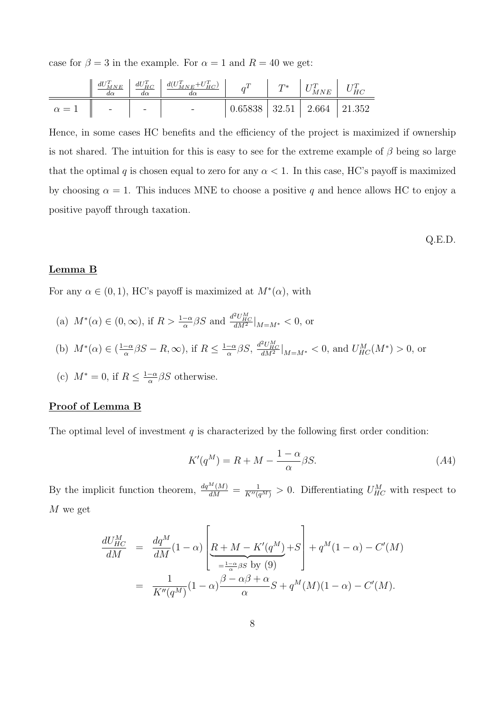case for  $\beta = 3$  in the example. For  $\alpha = 1$  and  $R = 40$  we get:

|                          |  | $\begin{array}{c c c c} dU_{MNE}^T & dU_{HC}^T & d(U_{MNE}^T+U_{HC}^T) & q^T & T^* & U_{MNE}^T & U_{HC}^T \end{array}$ |                                    |  |  |
|--------------------------|--|------------------------------------------------------------------------------------------------------------------------|------------------------------------|--|--|
| $\alpha = 1$   $-$   $-$ |  |                                                                                                                        | $0.65838$   32.51   2.664   21.352 |  |  |

Hence, in some cases HC benefits and the efficiency of the project is maximized if ownership is not shared. The intuition for this is easy to see for the extreme example of  $\beta$  being so large that the optimal q is chosen equal to zero for any  $\alpha < 1$ . In this case, HC's payoff is maximized by choosing  $\alpha = 1$ . This induces MNE to choose a positive q and hence allows HC to enjoy a positive payoff through taxation.

Q.E.D.

#### Lemma B

For any  $\alpha \in (0,1)$ , HC's payoff is maximized at  $M^*(\alpha)$ , with

- (a)  $M^*(\alpha) \in (0, \infty)$ , if  $R > \frac{1-\alpha}{\alpha} \beta S$  and  $\frac{d^2 U_{HC}^M}{dM^2}|_{M=M^*} < 0$ , or
- (b)  $M^*(\alpha) \in (\frac{1-\alpha}{\alpha})$  $\frac{-\alpha}{\alpha}\beta S - R, \infty$ , if  $R \leq \frac{1-\alpha}{\alpha}$  $\frac{-\alpha}{\alpha}\beta S, \left. \frac{d^2U_{HC}^M}{dM^2} \right|_{M=M^*} < 0$ , and  $U_{HC}^M(M^*) > 0$ , or
- (c)  $M^* = 0$ , if  $R \leq \frac{1-\alpha}{\alpha}$  $\frac{-\alpha}{\alpha} \beta S$  otherwise.

#### Proof of Lemma B

The optimal level of investment  $q$  is characterized by the following first order condition:

$$
K'(q^M) = R + M - \frac{1 - \alpha}{\alpha} \beta S.
$$
\n<sup>(A4)</sup>

By the implicit function theorem,  $\frac{dq^M(M)}{dM} = \frac{1}{K''(q^M)} > 0$ . Differentiating  $U_{HC}^M$  with respect to M we get

$$
\frac{dU_{HC}^M}{dM} = \frac{dq^M}{dM}(1-\alpha)\left[\underbrace{R+M-K'(q^M)}_{=\frac{1-\alpha}{\alpha}\beta S}+q^M(1-\alpha)-C'(M)\right]
$$
\n
$$
= \frac{1}{K''(q^M)}(1-\alpha)\frac{\beta-\alpha\beta+\alpha}{\alpha}S+q^M(M)(1-\alpha)-C'(M).
$$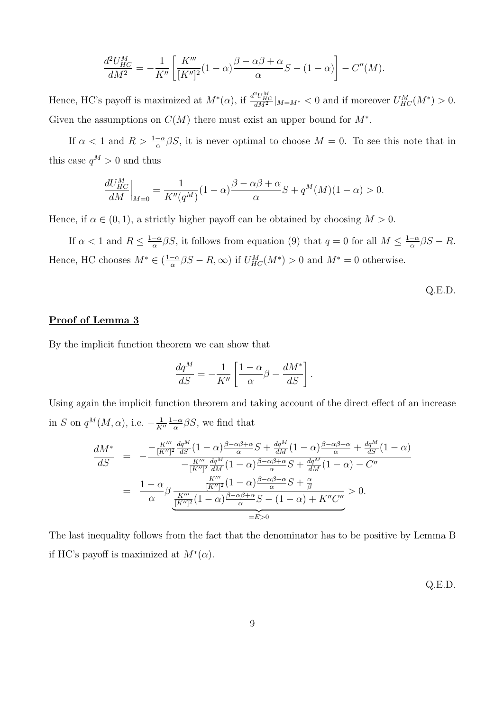$$
\frac{d^2U_{HC}^M}{dM^2} = -\frac{1}{K''}\left[\frac{K'''}{[K'']^2}(1-\alpha)\frac{\beta-\alpha\beta+\alpha}{\alpha}S - (1-\alpha)\right] - C''(M).
$$

Hence, HC's payoff is maximized at  $M^*(\alpha)$ , if  $\frac{d^2U_{HC}^M}{dM^2}|_{M=M^*}<0$  and if moreover  $U_{HC}^M(M^*)>0$ . Given the assumptions on  $C(M)$  there must exist an upper bound for  $M^*$ .

If  $\alpha < 1$  and  $R > \frac{1-\alpha}{\alpha}\beta S$ , it is never optimal to choose  $M = 0$ . To see this note that in this case  $q^M > 0$  and thus

$$
\frac{dU_{HC}^M}{dM}\bigg|_{M=0} = \frac{1}{K''(q^M)}(1-\alpha)\frac{\beta - \alpha\beta + \alpha}{\alpha}S + q^M(M)(1-\alpha) > 0.
$$

Hence, if  $\alpha \in (0,1)$ , a strictly higher payoff can be obtained by choosing  $M > 0$ .

If  $\alpha < 1$  and  $R \leq \frac{1-\alpha}{\alpha}$  $\frac{-\alpha}{\alpha}\beta S$ , it follows from equation (9) that  $q=0$  for all  $M \leq \frac{1-\alpha}{\alpha}$  $\frac{-\alpha}{\alpha}\beta S - R.$ Hence, HC chooses  $M^* \in (\frac{1-\alpha}{\alpha})$  $\frac{-\alpha}{\alpha}\beta S - R$ ,  $\infty$ ) if  $U_{HC}^M(M^*) > 0$  and  $M^* = 0$  otherwise.

$$
Q.E.D.
$$

#### Proof of Lemma 3

By the implicit function theorem we can show that

$$
\frac{dq^M}{dS} = -\frac{1}{K''} \left[ \frac{1-\alpha}{\alpha} \beta - \frac{dM^*}{dS} \right].
$$

Using again the implicit function theorem and taking account of the direct effect of an increase in S on  $q^M(M, \alpha)$ , i.e.  $-\frac{1}{K}$  $K^{\prime\prime}$  $1-\alpha$  $\frac{-\alpha}{\alpha}\beta S$ , we find that

$$
\frac{dM^*}{dS} = -\frac{-\frac{K'''}{[K'']^2}\frac{dq^M}{dS}(1-\alpha)\frac{\beta-\alpha\beta+\alpha}{\alpha}S + \frac{dq^M}{dM}(1-\alpha)\frac{\beta-\alpha\beta+\alpha}{\alpha} + \frac{dq^M}{dS}(1-\alpha)}{-\frac{K'''}{[K'']^2}\frac{dq^M}{dM}(1-\alpha)\frac{\beta-\alpha\beta+\alpha}{\alpha}S + \frac{dq^M}{dM}(1-\alpha) - C''}
$$
\n
$$
= \frac{1-\alpha}{\alpha}\beta \frac{\frac{K'''}{[K'']^2}(1-\alpha)\frac{\beta-\alpha\beta+\alpha}{\alpha}S + \frac{\alpha}{\beta}}{\frac{K'''}{[K'']^2}(1-\alpha)\frac{\beta-\alpha\beta+\alpha}{\alpha}S - (1-\alpha) + K''C''}{=E>0} > 0.
$$

The last inequality follows from the fact that the denominator has to be positive by Lemma B if HC's payoff is maximized at  $M^*(\alpha)$ .

Q.E.D.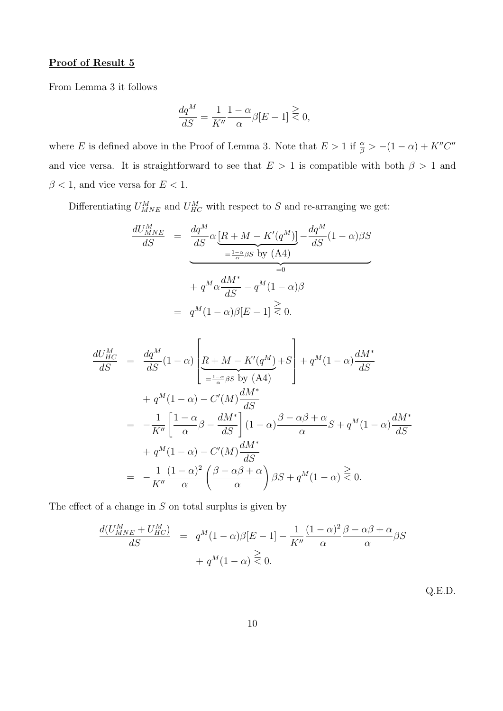#### Proof of Result 5

From Lemma 3 it follows

$$
\frac{dq^M}{dS} = \frac{1}{K''} \frac{1-\alpha}{\alpha} \beta[E-1] \stackrel{\geq}{\leq} 0,
$$

where E is defined above in the Proof of Lemma 3. Note that  $E > 1$  if  $\frac{\alpha}{\beta} > -(1 - \alpha) + K''C''$ and vice versa. It is straightforward to see that  $E > 1$  is compatible with both  $\beta > 1$  and  $\beta < 1,$  and vice versa for  $E < 1.$ 

Differentiating  $U_{MNE}^M$  and  $U_{HC}^M$  with respect to S and re-arranging we get:

$$
\frac{dU_{MNE}^{M}}{dS} = \frac{dq^{M}}{dS} \alpha \underbrace{\left[R + M - K'(q^{M})\right]}_{=\frac{1-\alpha}{\alpha}\beta S} - \frac{dq^{M}}{dS}(1-\alpha)\beta S
$$
\n
$$
+ q^{M}\alpha \frac{dM^{*}}{dS} - q^{M}(1-\alpha)\beta
$$
\n
$$
= q^{M}(1-\alpha)\beta[E-1] \ge 0.
$$

$$
\frac{dU_{HC}^{M}}{dS} = \frac{dq^{M}}{dS}(1-\alpha)\left[\underline{R+M-K'(q^{M})}_{=\frac{1-\alpha}{\alpha}\beta S}+g^{M}(1-\alpha)\frac{dM^{*}}{dS} + q^{M}(1-\alpha)\frac{dM^{*}}{dS}\right]
$$

$$
+q^{M}(1-\alpha)-C'(M)\frac{dM^{*}}{dS}
$$

$$
= -\frac{1}{K''}\left[\frac{1-\alpha}{\alpha}\beta-\frac{dM^{*}}{dS}\right](1-\alpha)\frac{\beta-\alpha\beta+\alpha}{\alpha}S+q^{M}(1-\alpha)\frac{dM^{*}}{dS}
$$

$$
+q^{M}(1-\alpha)-C'(M)\frac{dM^{*}}{dS}
$$

$$
= -\frac{1}{K''}\frac{(1-\alpha)^{2}}{\alpha}\left(\frac{\beta-\alpha\beta+\alpha}{\alpha}\right)\beta S+q^{M}(1-\alpha)\overset{\geq}{\leq}0.
$$

The effect of a change in  $S$  on total surplus is given by

$$
\frac{d(U_{MNE}^M + U_{HC}^M)}{dS} = q^M (1 - \alpha) \beta [E - 1] - \frac{1}{K''} \frac{(1 - \alpha)^2 \beta - \alpha \beta + \alpha}{\alpha} \beta S + q^M (1 - \alpha) \ge 0.
$$

Q.E.D.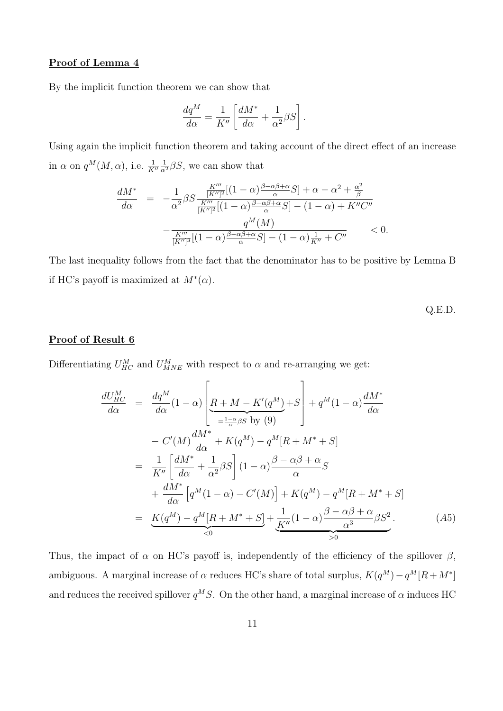#### Proof of Lemma 4

By the implicit function theorem we can show that

$$
\frac{dq^M}{d\alpha} = \frac{1}{K''} \left[ \frac{dM^*}{d\alpha} + \frac{1}{\alpha^2} \beta S \right].
$$

Using again the implicit function theorem and taking account of the direct effect of an increase in  $\alpha$  on  $q^M(M, \alpha)$ , i.e.  $\frac{1}{K''}$  $\frac{1}{\alpha^2} \beta S$ , we can show that

$$
\frac{dM^*}{d\alpha} = -\frac{1}{\alpha^2} \beta S \frac{\frac{K'''}{[K'']^2} [(1-\alpha)\frac{\beta-\alpha\beta+\alpha}{\alpha}S] + \alpha - \alpha^2 + \frac{\alpha^2}{\beta}}{\frac{K'''}{[K'']^2} [(1-\alpha)\frac{\beta-\alpha\beta+\alpha}{\alpha}S] - (1-\alpha) + K''C''}
$$

$$
-\frac{q^M(M)}{\frac{K'''}{[K'']^3} [(1-\alpha)\frac{\beta-\alpha\beta+\alpha}{\alpha}S] - (1-\alpha)\frac{1}{K''} + C''} < 0.
$$

The last inequality follows from the fact that the denominator has to be positive by Lemma B if HC's payoff is maximized at  $M^*(\alpha)$ .

$$
Q.E.D.
$$

#### Proof of Result 6

Differentiating  $U_{HC}^M$  and  $U_{MNE}^M$  with respect to  $\alpha$  and re-arranging we get:

$$
\frac{dU_{HC}^{M}}{d\alpha} = \frac{dq^{M}}{d\alpha}(1-\alpha)\left[\underbrace{R+M-K'(q^{M})}_{=\frac{1-\alpha}{\alpha}\beta S}+q^{M}(1-\alpha)\frac{dM^{*}}{d\alpha}\right]
$$
\n
$$
-C'(M)\frac{dM^{*}}{d\alpha}+K(q^{M})-q^{M}[R+M^{*}+S]
$$
\n
$$
= \frac{1}{K''}\left[\frac{dM^{*}}{d\alpha}+\frac{1}{\alpha^{2}}\beta S\right](1-\alpha)\frac{\beta-\alpha\beta+\alpha}{\alpha}S
$$
\n
$$
+\frac{dM^{*}}{d\alpha}\left[q^{M}(1-\alpha)-C'(M)\right]+K(q^{M})-q^{M}[R+M^{*}+S]
$$
\n
$$
= \underbrace{K(q^{M})-q^{M}[R+M^{*}+S]}_{\leq 0}+\underbrace{\frac{1}{K''}(1-\alpha)\frac{\beta-\alpha\beta+\alpha}{\alpha^{3}}\beta S^{2}}_{>0}.\tag{A5}
$$

Thus, the impact of  $\alpha$  on HC's payoff is, independently of the efficiency of the spillover  $\beta$ , ambiguous. A marginal increase of  $\alpha$  reduces HC's share of total surplus,  $K(q^M) - q^M[R + M^*]$ and reduces the received spillover  $q^MS$ . On the other hand, a marginal increase of  $\alpha$  induces HC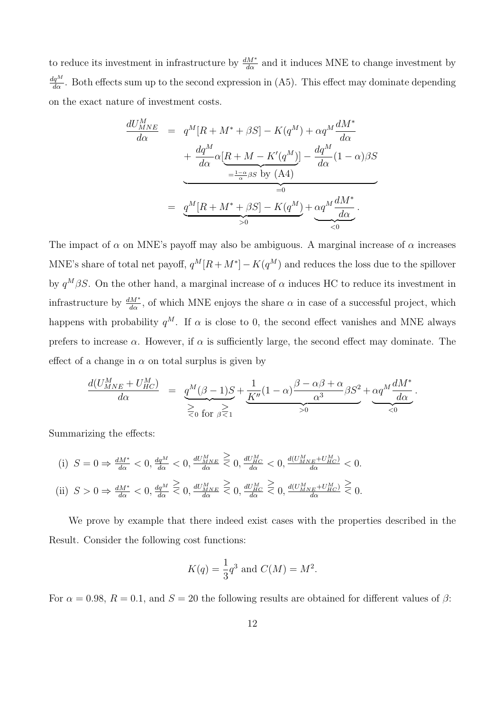to reduce its investment in infrastructure by  $\frac{dM^*}{d\alpha}$  and it induces MNE to change investment by  $\frac{dq^M}{d\alpha}$ . Both effects sum up to the second expression in (A5). This effect may dominate depending on the exact nature of investment costs.

$$
\frac{dU_{MNE}^{M}}{d\alpha} = q^{M}[R + M^{*} + \beta S] - K(q^{M}) + \alpha q^{M} \frac{dM^{*}}{d\alpha}
$$

$$
+ \frac{dq^{M}}{d\alpha} \alpha \left[ \underbrace{R + M - K'(q^{M})}_{= \frac{1-\alpha}{\alpha} \beta S} - \underbrace{dq^{M}}_{=0} (1 - \alpha) \beta S \right]
$$

$$
= \underbrace{q^{M}[R + M^{*} + \beta S] - K(q^{M})}_{>0} + \underbrace{\alpha q^{M} \frac{dM^{*}}{d\alpha}}_{<0}.
$$

The impact of  $\alpha$  on MNE's payoff may also be ambiguous. A marginal increase of  $\alpha$  increases MNE's share of total net payoff,  $q^M[R + M^*] - K(q^M)$  and reduces the loss due to the spillover by  $q^M\beta S$ . On the other hand, a marginal increase of  $\alpha$  induces HC to reduce its investment in infrastructure by  $\frac{dM^*}{d\alpha}$ , of which MNE enjoys the share  $\alpha$  in case of a successful project, which happens with probability  $q^M$ . If  $\alpha$  is close to 0, the second effect vanishes and MNE always prefers to increase  $\alpha$ . However, if  $\alpha$  is sufficiently large, the second effect may dominate. The effect of a change in  $\alpha$  on total surplus is given by

$$
\frac{d(U_{\text{MNE}}^M + U_{\text{HC}}^M)}{d\alpha} = \underbrace{q^M(\beta - 1)S}_{\text{for }\beta \leq 1} + \underbrace{\frac{1}{K''}(1 - \alpha)\frac{\beta - \alpha\beta + \alpha}{\alpha^3}\beta S^2}_{>0} + \underbrace{\alpha q^M \frac{dM^*}{d\alpha}}_{\text{}< 0}.
$$

Summarizing the effects:

(i) 
$$
S = 0 \Rightarrow \frac{dM^*}{d\alpha} < 0
$$
,  $\frac{dq^M}{d\alpha} < 0$ ,  $\frac{dU_{MNE}^M}{d\alpha} \ge 0$ ,  $\frac{dU_{HC}^M}{d\alpha} < 0$ ,  $\frac{d(U_{MNE}^M + U_{HC}^M)}{d\alpha} < 0$ .  
\n(ii)  $S > 0 \Rightarrow \frac{dM^*}{d\alpha} < 0$ ,  $\frac{dq^M}{d\alpha} \ge 0$ ,  $\frac{dU_{MNE}^M}{d\alpha} \ge 0$ ,  $\frac{dU_{HC}^M}{d\alpha} \ge 0$ ,  $\frac{d(U_{MNE}^M + U_{HC}^M)}{d\alpha} \ge 0$ .

We prove by example that there indeed exist cases with the properties described in the Result. Consider the following cost functions:

$$
K(q) = \frac{1}{3}q^3
$$
 and  $C(M) = M^2$ .

For  $\alpha = 0.98$ ,  $R = 0.1$ , and  $S = 20$  the following results are obtained for different values of  $\beta$ :